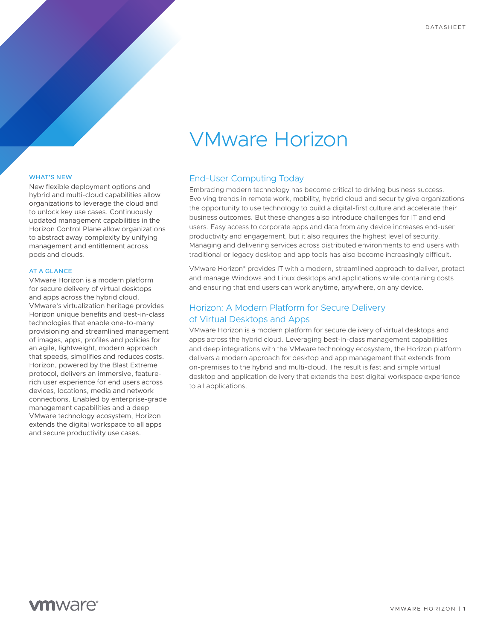# VMware Horizon

#### WHAT'S NEW

New flexible deployment options and hybrid and multi-cloud capabilities allow organizations to leverage the cloud and to unlock key use cases. Continuously updated management capabilities in the Horizon Control Plane allow organizations to abstract away complexity by unifying management and entitlement across pods and clouds.

#### AT A GLANCE

VMware Horizon is a modern platform for secure delivery of virtual desktops and apps across the hybrid cloud. VMware's virtualization heritage provides Horizon unique benefits and best-in-class technologies that enable one-to-many provisioning and streamlined management of images, apps, profiles and policies for an agile, lightweight, modern approach that speeds, simplifies and reduces costs. Horizon, powered by the Blast Extreme protocol, delivers an immersive, featurerich user experience for end users across devices, locations, media and network connections. Enabled by enterprise-grade management capabilities and a deep VMware technology ecosystem, Horizon extends the digital workspace to all apps and secure productivity use cases.

### End-User Computing Today

Embracing modern technology has become critical to driving business success. Evolving trends in remote work, mobility, hybrid cloud and security give organizations the opportunity to use technology to build a digital-first culture and accelerate their business outcomes. But these changes also introduce challenges for IT and end users. Easy access to corporate apps and data from any device increases end-user productivity and engagement, but it also requires the highest level of security. Managing and delivering services across distributed environments to end users with traditional or legacy desktop and app tools has also become increasingly difficult.

VMware Horizon® provides IT with a modern, streamlined approach to deliver, protect and manage Windows and Linux desktops and applications while containing costs and ensuring that end users can work anytime, anywhere, on any device.

# Horizon: A Modern Platform for Secure Delivery of Virtual Desktops and Apps

VMware Horizon is a modern platform for secure delivery of virtual desktops and apps across the hybrid cloud. Leveraging best-in-class management capabilities and deep integrations with the VMware technology ecosystem, the Horizon platform delivers a modern approach for desktop and app management that extends from on-premises to the hybrid and multi-cloud. The result is fast and simple virtual desktop and application delivery that extends the best digital workspace experience to all applications.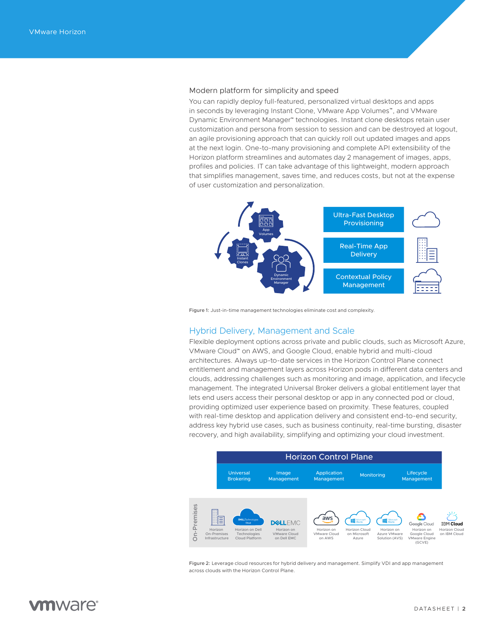#### Modern platform for simplicity and speed

You can rapidly deploy full-featured, personalized virtual desktops and apps in seconds by leveraging Instant Clone, VMware App Volumes™, and VMware Dynamic Environment Manager™ technologies. Instant clone desktops retain user customization and persona from session to session and can be destroyed at logout, an agile provisioning approach that can quickly roll out updated images and apps at the next login. One-to-many provisioning and complete API extensibility of the Horizon platform streamlines and automates day 2 management of images, apps, profiles and policies. IT can take advantage of this lightweight, modern approach that simplifies management, saves time, and reduces costs, but not at the expense of user customization and personalization.



Figure 1: Just-in-time management technologies eliminate cost and complexity.

#### Hybrid Delivery, Management and Scale

Flexible deployment options across private and public clouds, such as Microsoft Azure, VMware Cloud™ on AWS, and Google Cloud, enable hybrid and multi-cloud architectures. Always up-to-date services in the Horizon Control Plane connect entitlement and management layers across Horizon pods in different data centers and clouds, addressing challenges such as monitoring and image, application, and lifecycle management. The integrated Universal Broker delivers a global entitlement layer that lets end users access their personal desktop or app in any connected pod or cloud, providing optimized user experience based on proximity. These features, coupled with real-time desktop and application delivery and consistent end-to-end security, address key hybrid use cases, such as business continuity, real-time bursting, disaster recovery, and high availability, simplifying and optimizing your cloud investment.



Figure 2: Leverage cloud resources for hybrid delivery and management. Simplify VDI and app management across clouds with the Horizon Control Plane.

# **m**ware<sup>®</sup>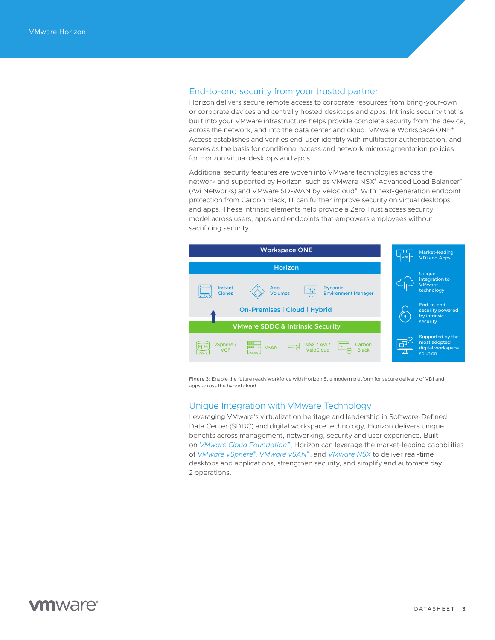### End-to-end security from your trusted partner

Horizon delivers secure remote access to corporate resources from bring-your-own or corporate devices and centrally hosted desktops and apps. Intrinsic security that is built into your VMware infrastructure helps provide complete security from the device, across the network, and into the data center and cloud. VMware Workspace ONE® Access establishes and verifies end-user identity with multifactor authentication, and serves as the basis for conditional access and network microsegmentation policies for Horizon virtual desktops and apps.

Additional security features are woven into VMware technologies across the network and supported by Horizon, such as VMware NSX® Advanced Load Balancer™ (Avi Networks) and VMware SD-WAN by Velocloud®. With next-generation endpoint protection from Carbon Black, IT can further improve security on virtual desktops and apps. These intrinsic elements help provide a Zero Trust access security model across users, apps and endpoints that empowers employees without sacrificing security.



Figure 3: Enable the future ready workforce with Horizon 8, a modern platform for secure delivery of VDI and apps across the hybrid cloud.

### Unique Integration with VMware Technology

Leveraging VMware's virtualization heritage and leadership in Software-Defined Data Center (SDDC) and digital workspace technology, Horizon delivers unique benefits across management, networking, security and user experience. Built on *VMware Cloud Foundation*™, Horizon can leverage the market-leading capabilities of *VMware vSphere*® , *VMware vSAN*™, and *VMware NSX* to deliver real-time desktops and applications, strengthen security, and simplify and automate day 2 operations.

# **vm**ware<sup>®</sup>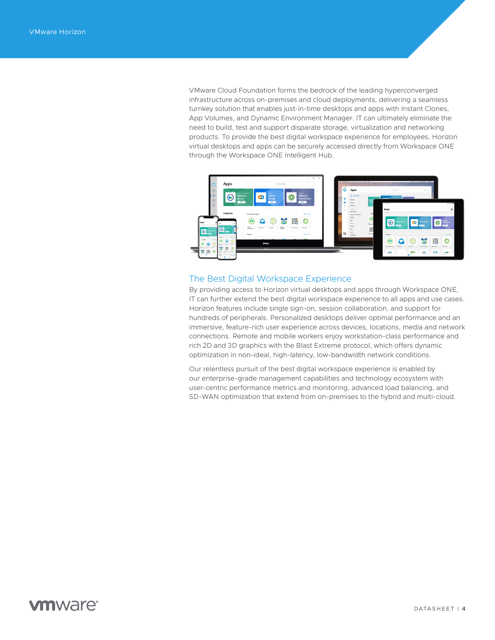VMware Cloud Foundation forms the bedrock of the leading hyperconverged infrastructure across on-premises and cloud deployments, delivering a seamless turnkey solution that enables just-in-time desktops and apps with Instant Clones, App Volumes, and Dynamic Environment Manager. IT can ultimately eliminate the need to build, test and support disparate storage, virtualization and networking products. To provide the best digital workspace experience for employees, Horizon virtual desktops and apps can be securely accessed directly from Workspace ONE through the Workspace ONE Intelligent Hub.



### The Best Digital Workspace Experience

By providing access to Horizon virtual desktops and apps through Workspace ONE, IT can further extend the best digital workspace experience to all apps and use cases. Horizon features include single sign-on, session collaboration, and support for hundreds of peripherals. Personalized desktops deliver optimal performance and an immersive, feature-rich user experience across devices, locations, media and network connections. Remote and mobile workers enjoy workstation-class performance and rich 2D and 3D graphics with the Blast Extreme protocol, which offers dynamic optimization in non-ideal, high-latency, low-bandwidth network conditions.

Our relentless pursuit of the best digital workspace experience is enabled by our enterprise-grade management capabilities and technology ecosystem with user-centric performance metrics and monitoring, advanced load balancing, and SD-WAN optimization that extend from on-premises to the hybrid and multi-cloud.

# **vm**ware<sup>®</sup>